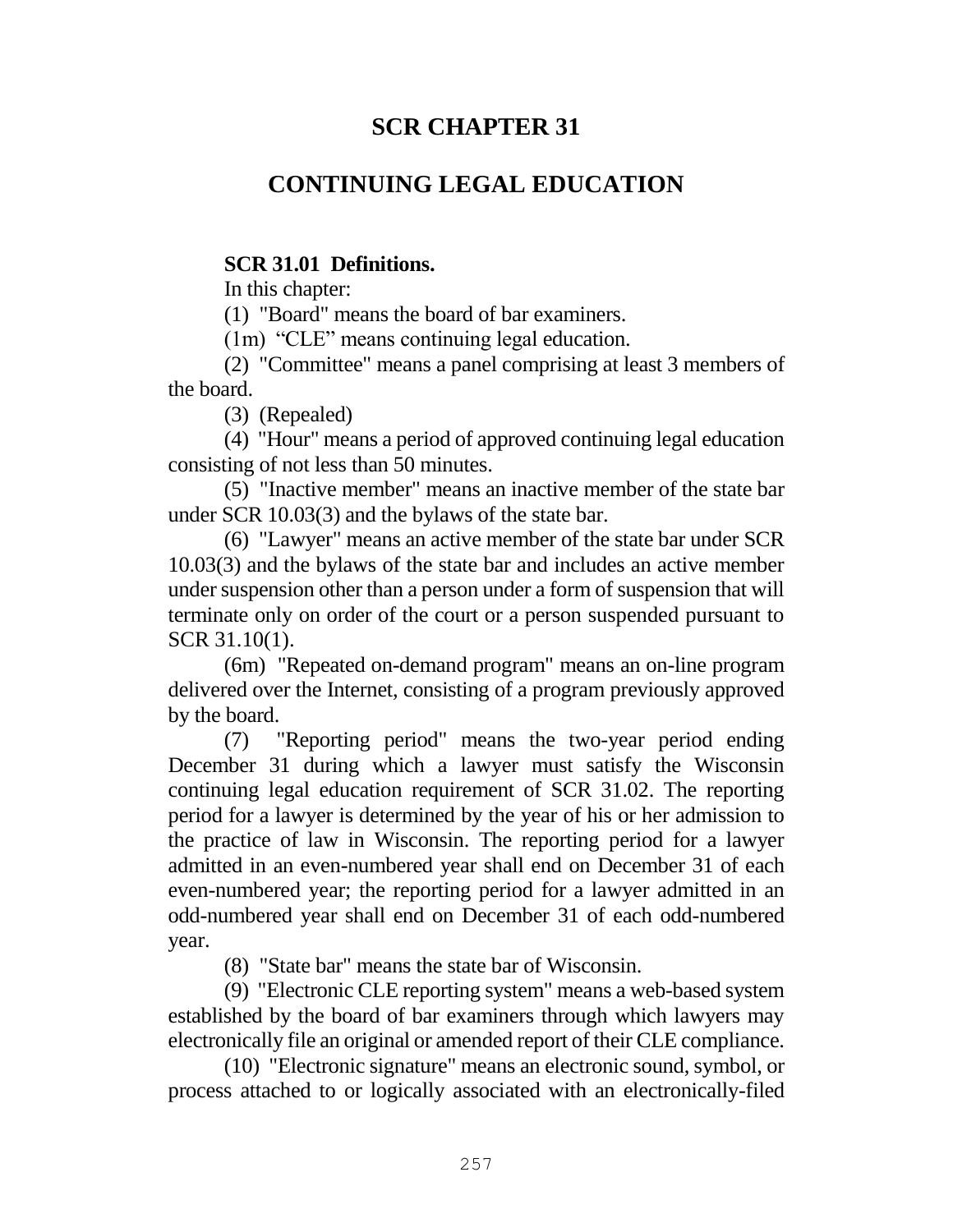# **SCR CHAPTER 31**

# **CONTINUING LEGAL EDUCATION**

### **SCR 31.01 Definitions.**

In this chapter:

(1) "Board" means the board of bar examiners.

(1m) "CLE" means continuing legal education.

(2) "Committee" means a panel comprising at least 3 members of the board.

(3) (Repealed)

(4) "Hour" means a period of approved continuing legal education consisting of not less than 50 minutes.

(5) "Inactive member" means an inactive member of the state bar under SCR 10.03(3) and the bylaws of the state bar.

(6) "Lawyer" means an active member of the state bar under SCR 10.03(3) and the bylaws of the state bar and includes an active member under suspension other than a person under a form of suspension that will terminate only on order of the court or a person suspended pursuant to SCR 31.10(1).

(6m) "Repeated on-demand program" means an on-line program delivered over the Internet, consisting of a program previously approved by the board.

(7) "Reporting period" means the two-year period ending December 31 during which a lawyer must satisfy the Wisconsin continuing legal education requirement of SCR 31.02. The reporting period for a lawyer is determined by the year of his or her admission to the practice of law in Wisconsin. The reporting period for a lawyer admitted in an even-numbered year shall end on December 31 of each even-numbered year; the reporting period for a lawyer admitted in an odd-numbered year shall end on December 31 of each odd-numbered year.

(8) "State bar" means the state bar of Wisconsin.

(9) "Electronic CLE reporting system" means a web-based system established by the board of bar examiners through which lawyers may electronically file an original or amended report of their CLE compliance.

(10) "Electronic signature" means an electronic sound, symbol, or process attached to or logically associated with an electronically-filed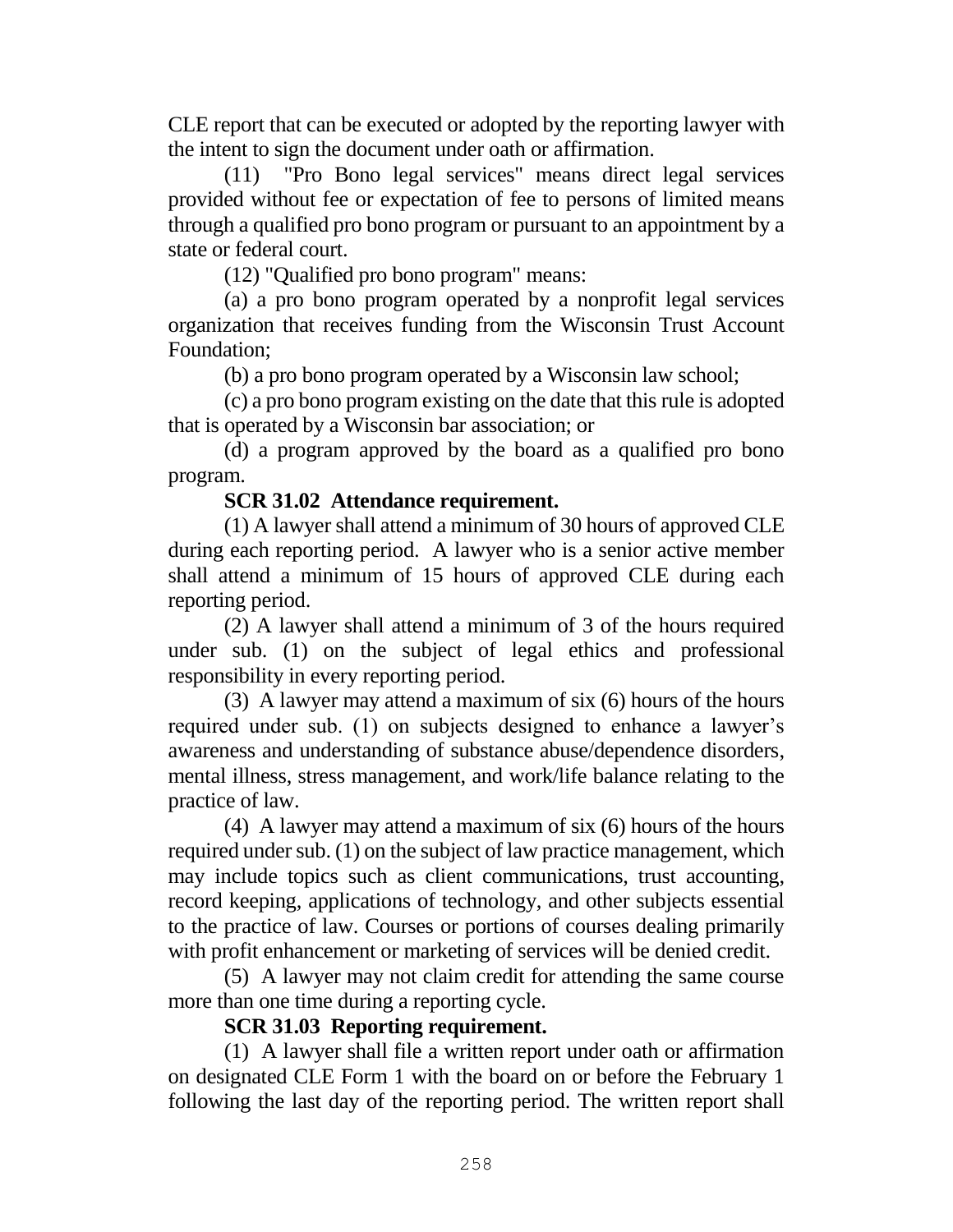CLE report that can be executed or adopted by the reporting lawyer with the intent to sign the document under oath or affirmation.

(11) "Pro Bono legal services" means direct legal services provided without fee or expectation of fee to persons of limited means through a qualified pro bono program or pursuant to an appointment by a state or federal court.

(12) "Qualified pro bono program" means:

(a) a pro bono program operated by a nonprofit legal services organization that receives funding from the Wisconsin Trust Account Foundation;

(b) a pro bono program operated by a Wisconsin law school;

(c) a pro bono program existing on the date that this rule is adopted that is operated by a Wisconsin bar association; or

(d) a program approved by the board as a qualified pro bono program.

### **SCR 31.02 Attendance requirement.**

(1) A lawyer shall attend a minimum of 30 hours of approved CLE during each reporting period. A lawyer who is a senior active member shall attend a minimum of 15 hours of approved CLE during each reporting period.

(2) A lawyer shall attend a minimum of 3 of the hours required under sub. (1) on the subject of legal ethics and professional responsibility in every reporting period.

(3) A lawyer may attend a maximum of six (6) hours of the hours required under sub. (1) on subjects designed to enhance a lawyer's awareness and understanding of substance abuse/dependence disorders, mental illness, stress management, and work/life balance relating to the practice of law.

(4) A lawyer may attend a maximum of six (6) hours of the hours required under sub. (1) on the subject of law practice management, which may include topics such as client communications, trust accounting, record keeping, applications of technology, and other subjects essential to the practice of law. Courses or portions of courses dealing primarily with profit enhancement or marketing of services will be denied credit.

(5) A lawyer may not claim credit for attending the same course more than one time during a reporting cycle.

### **SCR 31.03 Reporting requirement.**

(1) A lawyer shall file a written report under oath or affirmation on designated CLE Form 1 with the board on or before the February 1 following the last day of the reporting period. The written report shall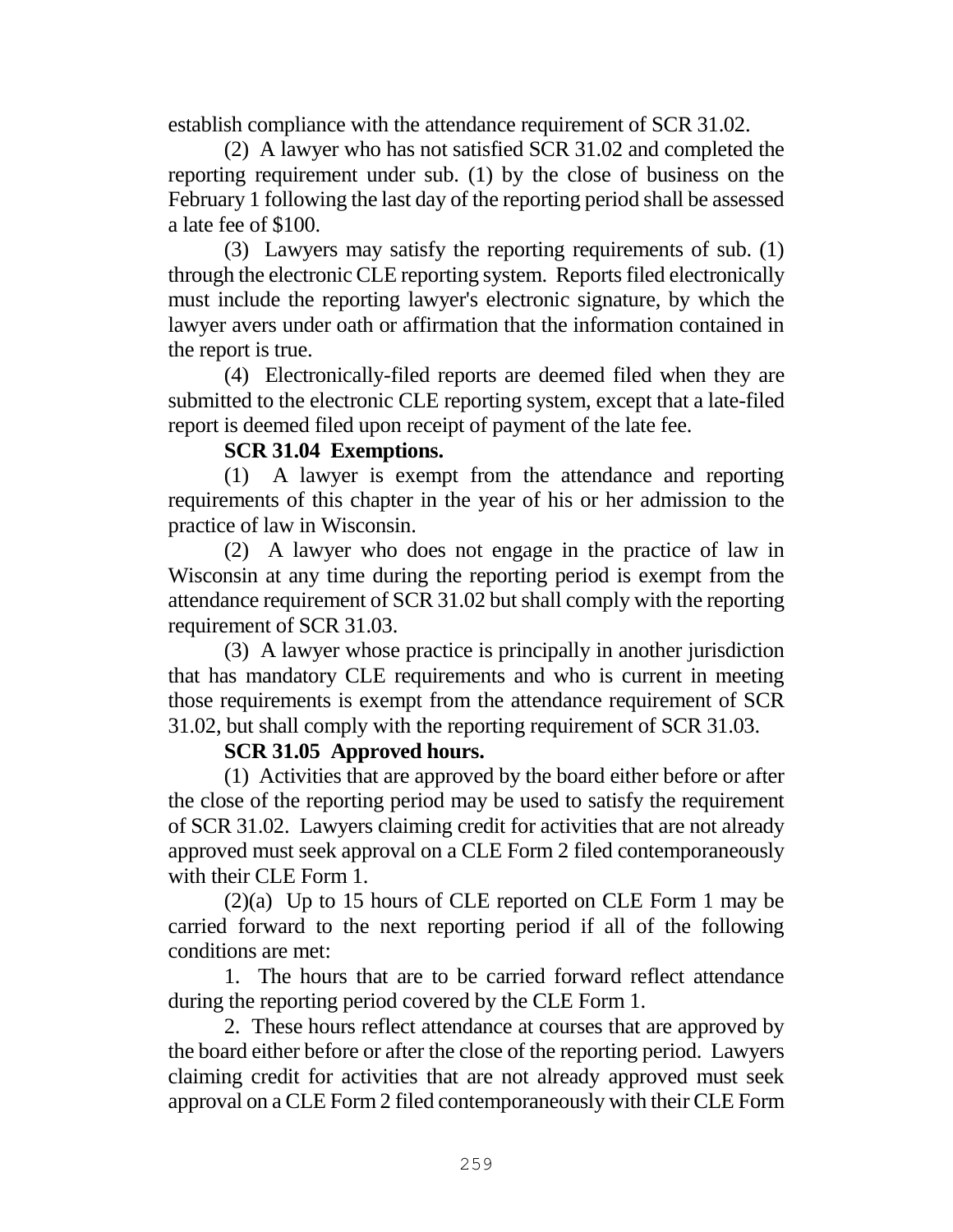establish compliance with the attendance requirement of SCR 31.02.

(2) A lawyer who has not satisfied SCR 31.02 and completed the reporting requirement under sub. (1) by the close of business on the February 1 following the last day of the reporting period shall be assessed a late fee of \$100.

(3) Lawyers may satisfy the reporting requirements of sub. (1) through the electronic CLE reporting system. Reports filed electronically must include the reporting lawyer's electronic signature, by which the lawyer avers under oath or affirmation that the information contained in the report is true.

(4) Electronically-filed reports are deemed filed when they are submitted to the electronic CLE reporting system, except that a late-filed report is deemed filed upon receipt of payment of the late fee.

### **SCR 31.04 Exemptions.**

(1) A lawyer is exempt from the attendance and reporting requirements of this chapter in the year of his or her admission to the practice of law in Wisconsin.

(2) A lawyer who does not engage in the practice of law in Wisconsin at any time during the reporting period is exempt from the attendance requirement of SCR 31.02 but shall comply with the reporting requirement of SCR 31.03.

(3) A lawyer whose practice is principally in another jurisdiction that has mandatory CLE requirements and who is current in meeting those requirements is exempt from the attendance requirement of SCR 31.02, but shall comply with the reporting requirement of SCR 31.03.

# **SCR 31.05 Approved hours.**

(1) Activities that are approved by the board either before or after the close of the reporting period may be used to satisfy the requirement of SCR 31.02. Lawyers claiming credit for activities that are not already approved must seek approval on a CLE Form 2 filed contemporaneously with their CLE Form 1.

(2)(a) Up to 15 hours of CLE reported on CLE Form 1 may be carried forward to the next reporting period if all of the following conditions are met:

1. The hours that are to be carried forward reflect attendance during the reporting period covered by the CLE Form 1.

2. These hours reflect attendance at courses that are approved by the board either before or after the close of the reporting period. Lawyers claiming credit for activities that are not already approved must seek approval on a CLE Form 2 filed contemporaneously with their CLE Form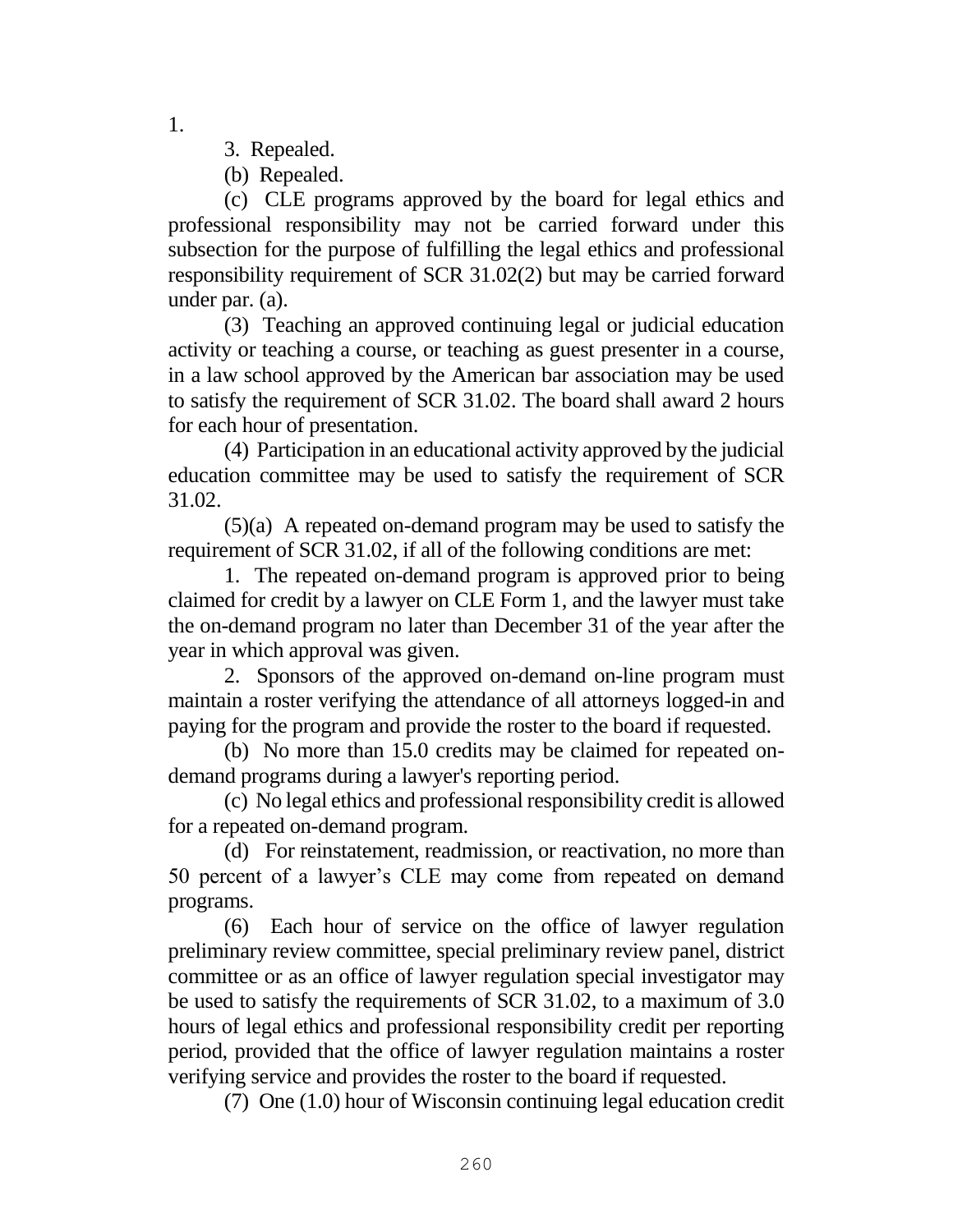1.

- 3. Repealed.
- (b) Repealed.

(c) CLE programs approved by the board for legal ethics and professional responsibility may not be carried forward under this subsection for the purpose of fulfilling the legal ethics and professional responsibility requirement of SCR 31.02(2) but may be carried forward under par. (a).

(3) Teaching an approved continuing legal or judicial education activity or teaching a course, or teaching as guest presenter in a course, in a law school approved by the American bar association may be used to satisfy the requirement of SCR 31.02. The board shall award 2 hours for each hour of presentation.

(4) Participation in an educational activity approved by the judicial education committee may be used to satisfy the requirement of SCR 31.02.

(5)(a) A repeated on-demand program may be used to satisfy the requirement of SCR 31.02, if all of the following conditions are met:

1. The repeated on-demand program is approved prior to being claimed for credit by a lawyer on CLE Form 1, and the lawyer must take the on-demand program no later than December 31 of the year after the year in which approval was given.

2. Sponsors of the approved on-demand on-line program must maintain a roster verifying the attendance of all attorneys logged-in and paying for the program and provide the roster to the board if requested.

(b) No more than 15.0 credits may be claimed for repeated ondemand programs during a lawyer's reporting period.

(c) No legal ethics and professional responsibility credit is allowed for a repeated on-demand program.

(d) For reinstatement, readmission, or reactivation, no more than 50 percent of a lawyer's CLE may come from repeated on demand programs.

(6) Each hour of service on the office of lawyer regulation preliminary review committee, special preliminary review panel, district committee or as an office of lawyer regulation special investigator may be used to satisfy the requirements of SCR 31.02, to a maximum of 3.0 hours of legal ethics and professional responsibility credit per reporting period, provided that the office of lawyer regulation maintains a roster verifying service and provides the roster to the board if requested.

(7) One (1.0) hour of Wisconsin continuing legal education credit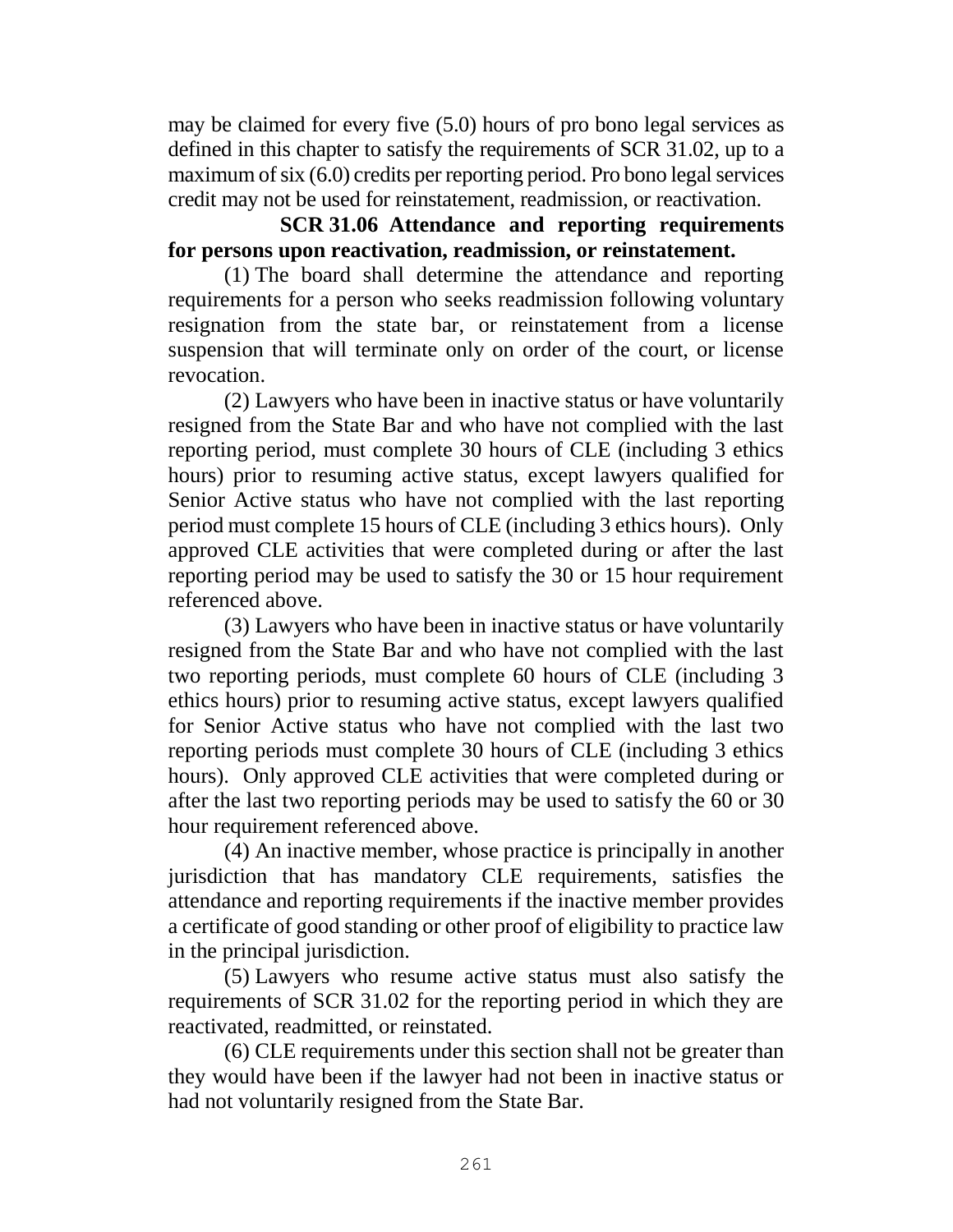may be claimed for every five (5.0) hours of pro bono legal services as defined in this chapter to satisfy the requirements of SCR 31.02, up to a maximum of six (6.0) credits per reporting period. Pro bono legal services credit may not be used for reinstatement, readmission, or reactivation.

# **SCR 31.06 Attendance and reporting requirements for persons upon reactivation, readmission, or reinstatement.**

(1) The board shall determine the attendance and reporting requirements for a person who seeks readmission following voluntary resignation from the state bar, or reinstatement from a license suspension that will terminate only on order of the court, or license revocation.

(2) Lawyers who have been in inactive status or have voluntarily resigned from the State Bar and who have not complied with the last reporting period, must complete 30 hours of CLE (including 3 ethics hours) prior to resuming active status, except lawyers qualified for Senior Active status who have not complied with the last reporting period must complete 15 hours of CLE (including 3 ethics hours). Only approved CLE activities that were completed during or after the last reporting period may be used to satisfy the 30 or 15 hour requirement referenced above.

(3) Lawyers who have been in inactive status or have voluntarily resigned from the State Bar and who have not complied with the last two reporting periods, must complete 60 hours of CLE (including 3 ethics hours) prior to resuming active status, except lawyers qualified for Senior Active status who have not complied with the last two reporting periods must complete 30 hours of CLE (including 3 ethics hours). Only approved CLE activities that were completed during or after the last two reporting periods may be used to satisfy the 60 or 30 hour requirement referenced above.

(4) An inactive member, whose practice is principally in another jurisdiction that has mandatory CLE requirements, satisfies the attendance and reporting requirements if the inactive member provides a certificate of good standing or other proof of eligibility to practice law in the principal jurisdiction.

(5) Lawyers who resume active status must also satisfy the requirements of SCR 31.02 for the reporting period in which they are reactivated, readmitted, or reinstated.

(6) CLE requirements under this section shall not be greater than they would have been if the lawyer had not been in inactive status or had not voluntarily resigned from the State Bar.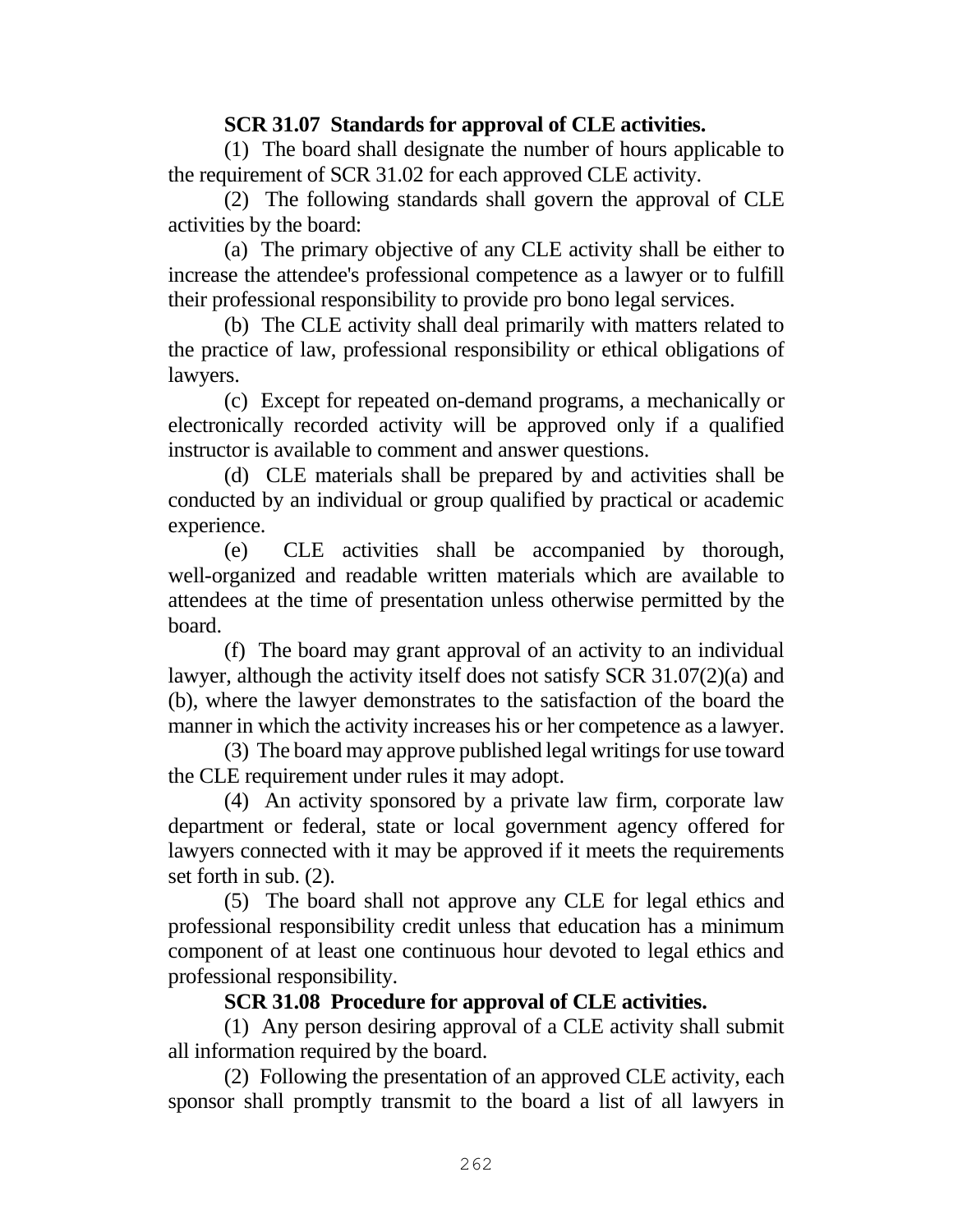### **SCR 31.07 Standards for approval of CLE activities.**

(1) The board shall designate the number of hours applicable to the requirement of SCR 31.02 for each approved CLE activity.

(2) The following standards shall govern the approval of CLE activities by the board:

(a) The primary objective of any CLE activity shall be either to increase the attendee's professional competence as a lawyer or to fulfill their professional responsibility to provide pro bono legal services.

(b) The CLE activity shall deal primarily with matters related to the practice of law, professional responsibility or ethical obligations of lawyers.

(c) Except for repeated on-demand programs, a mechanically or electronically recorded activity will be approved only if a qualified instructor is available to comment and answer questions.

(d) CLE materials shall be prepared by and activities shall be conducted by an individual or group qualified by practical or academic experience.

(e) CLE activities shall be accompanied by thorough, well-organized and readable written materials which are available to attendees at the time of presentation unless otherwise permitted by the board.

(f) The board may grant approval of an activity to an individual lawyer, although the activity itself does not satisfy SCR 31.07(2)(a) and (b), where the lawyer demonstrates to the satisfaction of the board the manner in which the activity increases his or her competence as a lawyer.

(3) The board may approve published legal writings for use toward the CLE requirement under rules it may adopt.

(4) An activity sponsored by a private law firm, corporate law department or federal, state or local government agency offered for lawyers connected with it may be approved if it meets the requirements set forth in sub. (2).

(5) The board shall not approve any CLE for legal ethics and professional responsibility credit unless that education has a minimum component of at least one continuous hour devoted to legal ethics and professional responsibility.

# **SCR 31.08 Procedure for approval of CLE activities.**

(1) Any person desiring approval of a CLE activity shall submit all information required by the board.

(2) Following the presentation of an approved CLE activity, each sponsor shall promptly transmit to the board a list of all lawyers in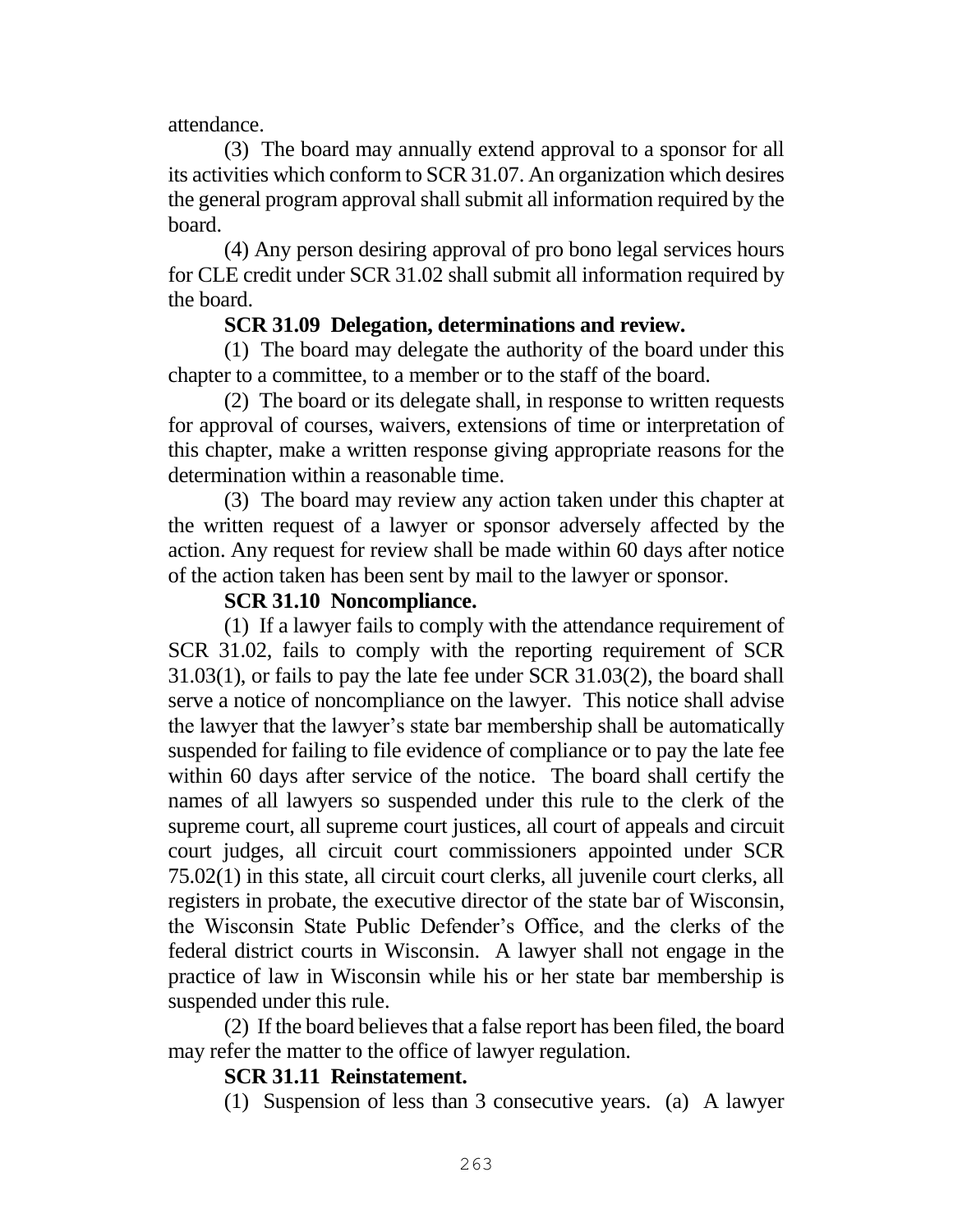### attendance.

(3) The board may annually extend approval to a sponsor for all its activities which conform to SCR 31.07. An organization which desires the general program approval shall submit all information required by the board.

(4) Any person desiring approval of pro bono legal services hours for CLE credit under SCR 31.02 shall submit all information required by the board.

### **SCR 31.09 Delegation, determinations and review.**

(1) The board may delegate the authority of the board under this chapter to a committee, to a member or to the staff of the board.

(2) The board or its delegate shall, in response to written requests for approval of courses, waivers, extensions of time or interpretation of this chapter, make a written response giving appropriate reasons for the determination within a reasonable time.

(3) The board may review any action taken under this chapter at the written request of a lawyer or sponsor adversely affected by the action. Any request for review shall be made within 60 days after notice of the action taken has been sent by mail to the lawyer or sponsor.

### **SCR 31.10 Noncompliance.**

(1) If a lawyer fails to comply with the attendance requirement of SCR 31.02, fails to comply with the reporting requirement of SCR 31.03(1), or fails to pay the late fee under SCR 31.03(2), the board shall serve a notice of noncompliance on the lawyer. This notice shall advise the lawyer that the lawyer's state bar membership shall be automatically suspended for failing to file evidence of compliance or to pay the late fee within 60 days after service of the notice. The board shall certify the names of all lawyers so suspended under this rule to the clerk of the supreme court, all supreme court justices, all court of appeals and circuit court judges, all circuit court commissioners appointed under SCR 75.02(1) in this state, all circuit court clerks, all juvenile court clerks, all registers in probate, the executive director of the state bar of Wisconsin, the Wisconsin State Public Defender's Office, and the clerks of the federal district courts in Wisconsin. A lawyer shall not engage in the practice of law in Wisconsin while his or her state bar membership is suspended under this rule.

(2) If the board believes that a false report has been filed, the board may refer the matter to the office of lawyer regulation.

### **SCR 31.11 Reinstatement.**

(1) Suspension of less than 3 consecutive years. (a) A lawyer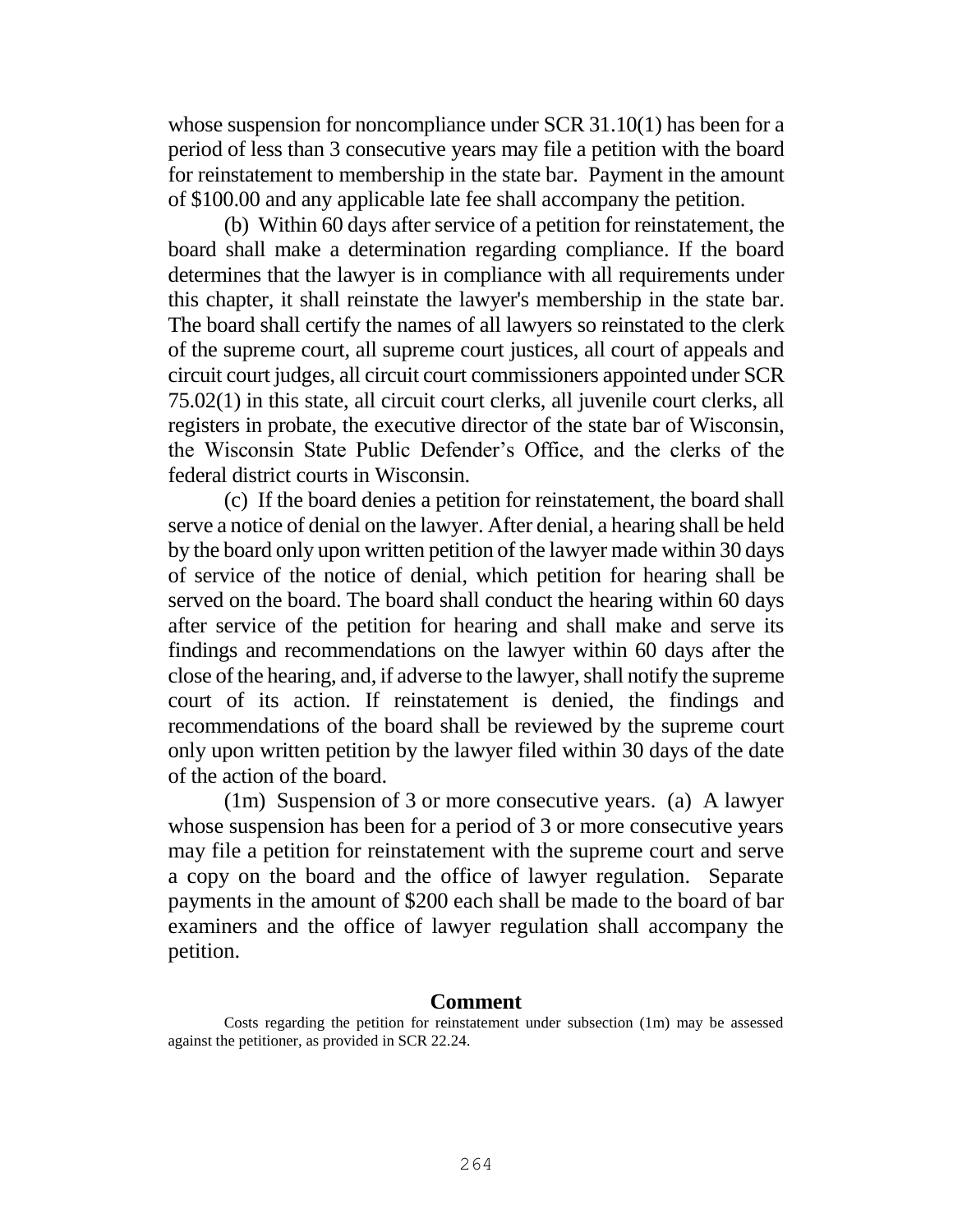whose suspension for noncompliance under SCR 31.10(1) has been for a period of less than 3 consecutive years may file a petition with the board for reinstatement to membership in the state bar. Payment in the amount of \$100.00 and any applicable late fee shall accompany the petition.

(b) Within 60 days after service of a petition for reinstatement, the board shall make a determination regarding compliance. If the board determines that the lawyer is in compliance with all requirements under this chapter, it shall reinstate the lawyer's membership in the state bar. The board shall certify the names of all lawyers so reinstated to the clerk of the supreme court, all supreme court justices, all court of appeals and circuit court judges, all circuit court commissioners appointed under SCR 75.02(1) in this state, all circuit court clerks, all juvenile court clerks, all registers in probate, the executive director of the state bar of Wisconsin, the Wisconsin State Public Defender's Office, and the clerks of the federal district courts in Wisconsin.

(c) If the board denies a petition for reinstatement, the board shall serve a notice of denial on the lawyer. After denial, a hearing shall be held by the board only upon written petition of the lawyer made within 30 days of service of the notice of denial, which petition for hearing shall be served on the board. The board shall conduct the hearing within 60 days after service of the petition for hearing and shall make and serve its findings and recommendations on the lawyer within 60 days after the close of the hearing, and, if adverse to the lawyer, shall notify the supreme court of its action. If reinstatement is denied, the findings and recommendations of the board shall be reviewed by the supreme court only upon written petition by the lawyer filed within 30 days of the date of the action of the board.

(1m) Suspension of 3 or more consecutive years. (a) A lawyer whose suspension has been for a period of 3 or more consecutive years may file a petition for reinstatement with the supreme court and serve a copy on the board and the office of lawyer regulation. Separate payments in the amount of \$200 each shall be made to the board of bar examiners and the office of lawyer regulation shall accompany the petition.

#### **Comment**

Costs regarding the petition for reinstatement under subsection (1m) may be assessed against the petitioner, as provided in SCR 22.24.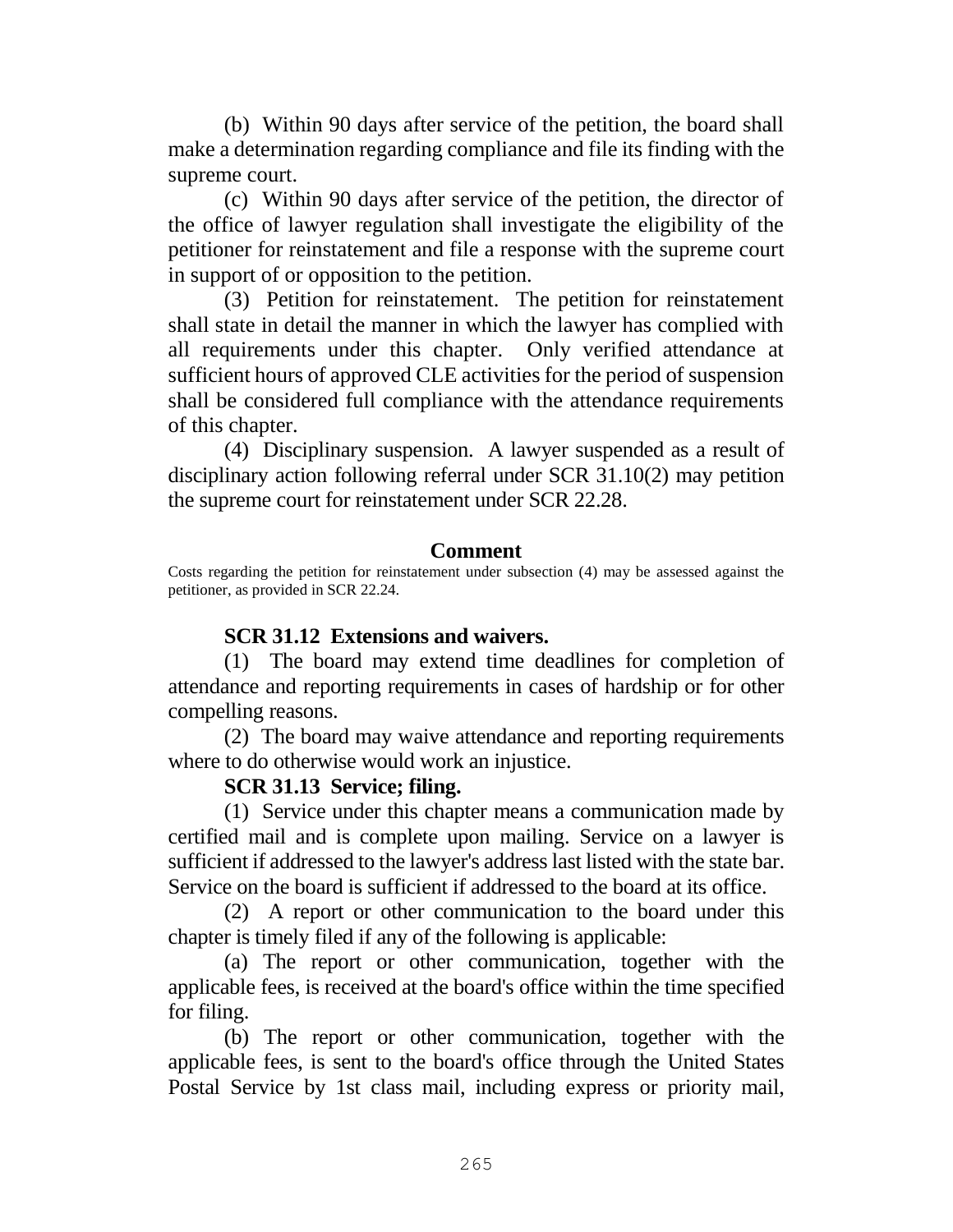(b) Within 90 days after service of the petition, the board shall make a determination regarding compliance and file its finding with the supreme court.

(c) Within 90 days after service of the petition, the director of the office of lawyer regulation shall investigate the eligibility of the petitioner for reinstatement and file a response with the supreme court in support of or opposition to the petition.

(3) Petition for reinstatement. The petition for reinstatement shall state in detail the manner in which the lawyer has complied with all requirements under this chapter. Only verified attendance at sufficient hours of approved CLE activities for the period of suspension shall be considered full compliance with the attendance requirements of this chapter.

(4) Disciplinary suspension. A lawyer suspended as a result of disciplinary action following referral under SCR 31.10(2) may petition the supreme court for reinstatement under SCR 22.28.

### **Comment**

Costs regarding the petition for reinstatement under subsection (4) may be assessed against the petitioner, as provided in SCR 22.24.

### **SCR 31.12 Extensions and waivers.**

(1) The board may extend time deadlines for completion of attendance and reporting requirements in cases of hardship or for other compelling reasons.

(2) The board may waive attendance and reporting requirements where to do otherwise would work an injustice.

### **SCR 31.13 Service; filing.**

(1) Service under this chapter means a communication made by certified mail and is complete upon mailing. Service on a lawyer is sufficient if addressed to the lawyer's address last listed with the state bar. Service on the board is sufficient if addressed to the board at its office.

(2) A report or other communication to the board under this chapter is timely filed if any of the following is applicable:

(a) The report or other communication, together with the applicable fees, is received at the board's office within the time specified for filing.

(b) The report or other communication, together with the applicable fees, is sent to the board's office through the United States Postal Service by 1st class mail, including express or priority mail,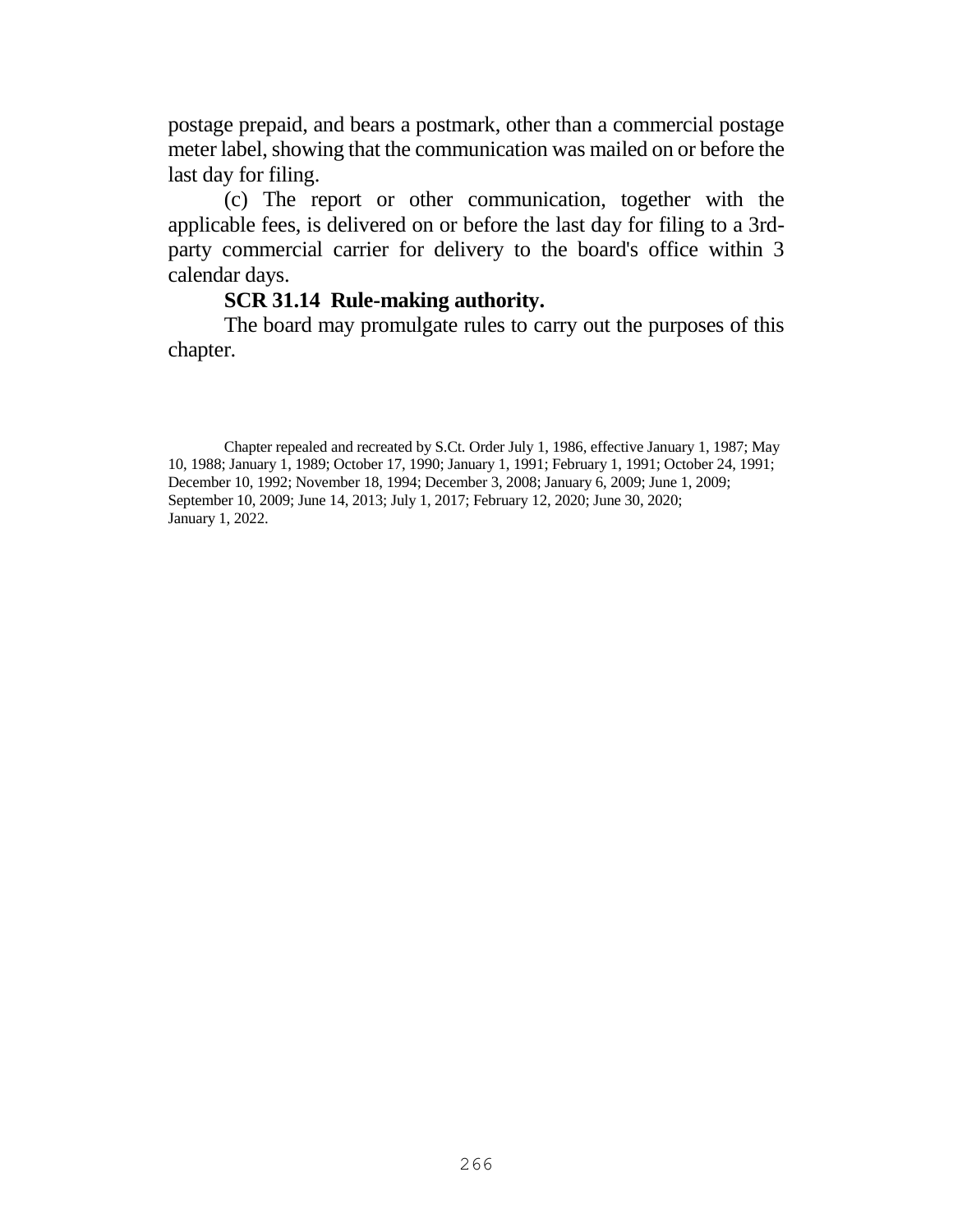postage prepaid, and bears a postmark, other than a commercial postage meter label, showing that the communication was mailed on or before the last day for filing.

(c) The report or other communication, together with the applicable fees, is delivered on or before the last day for filing to a 3rdparty commercial carrier for delivery to the board's office within 3 calendar days.

#### **SCR 31.14 Rule-making authority.**

The board may promulgate rules to carry out the purposes of this chapter.

Chapter repealed and recreated by S.Ct. Order July 1, 1986, effective January 1, 1987; May 10, 1988; January 1, 1989; October 17, 1990; January 1, 1991; February 1, 1991; October 24, 1991; December 10, 1992; November 18, 1994; December 3, 2008; January 6, 2009; June 1, 2009; September 10, 2009; June 14, 2013; July 1, 2017; February 12, 2020; June 30, 2020; January 1, 2022.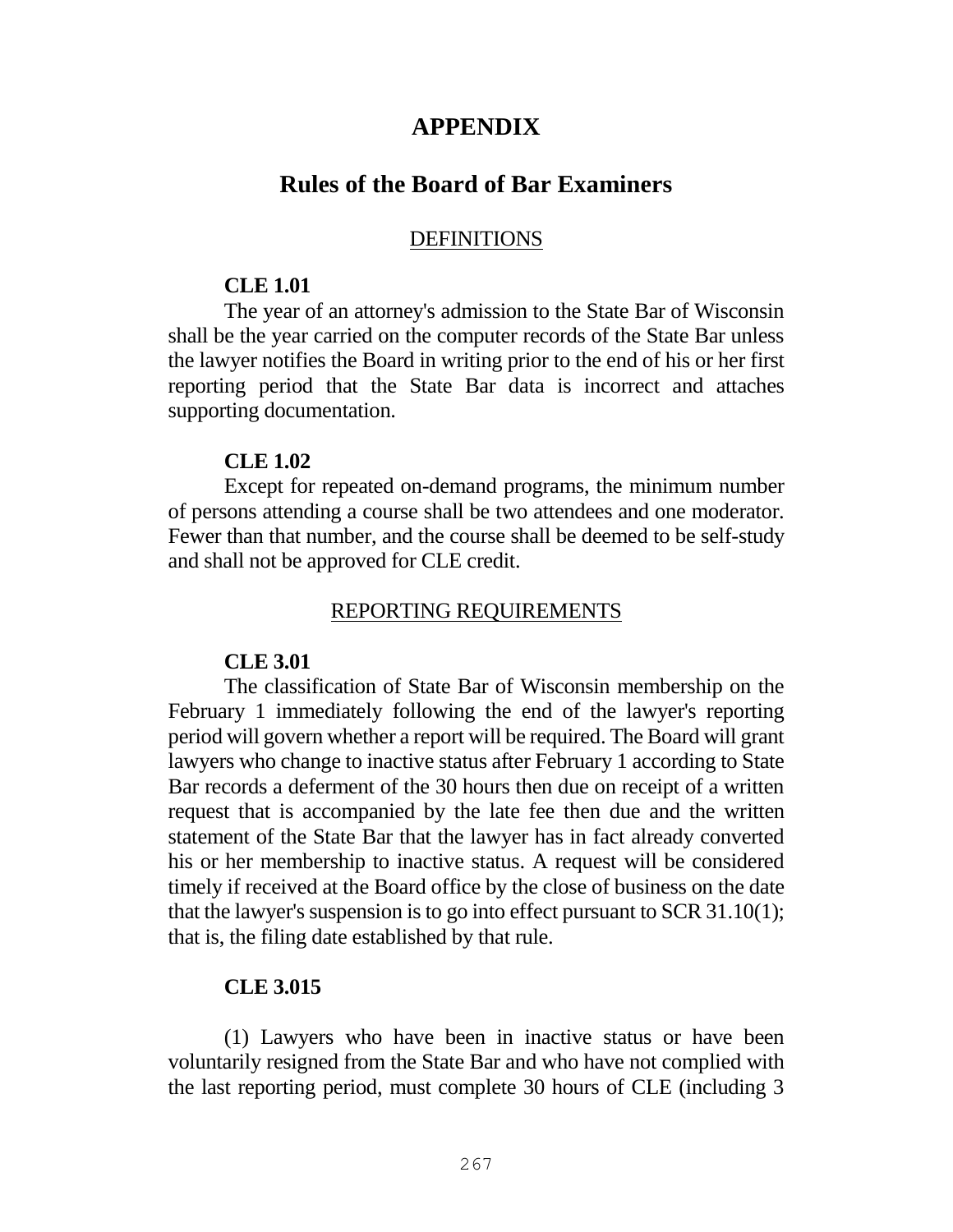# **APPENDIX**

# **Rules of the Board of Bar Examiners**

#### DEFINITIONS

#### **CLE 1.01**

The year of an attorney's admission to the State Bar of Wisconsin shall be the year carried on the computer records of the State Bar unless the lawyer notifies the Board in writing prior to the end of his or her first reporting period that the State Bar data is incorrect and attaches supporting documentation.

#### **CLE 1.02**

Except for repeated on-demand programs, the minimum number of persons attending a course shall be two attendees and one moderator. Fewer than that number, and the course shall be deemed to be self-study and shall not be approved for CLE credit.

#### REPORTING REQUIREMENTS

### **CLE 3.01**

The classification of State Bar of Wisconsin membership on the February 1 immediately following the end of the lawyer's reporting period will govern whether a report will be required. The Board will grant lawyers who change to inactive status after February 1 according to State Bar records a deferment of the 30 hours then due on receipt of a written request that is accompanied by the late fee then due and the written statement of the State Bar that the lawyer has in fact already converted his or her membership to inactive status. A request will be considered timely if received at the Board office by the close of business on the date that the lawyer's suspension is to go into effect pursuant to SCR 31.10(1); that is, the filing date established by that rule.

#### **CLE 3.015**

(1) Lawyers who have been in inactive status or have been voluntarily resigned from the State Bar and who have not complied with the last reporting period, must complete 30 hours of CLE (including 3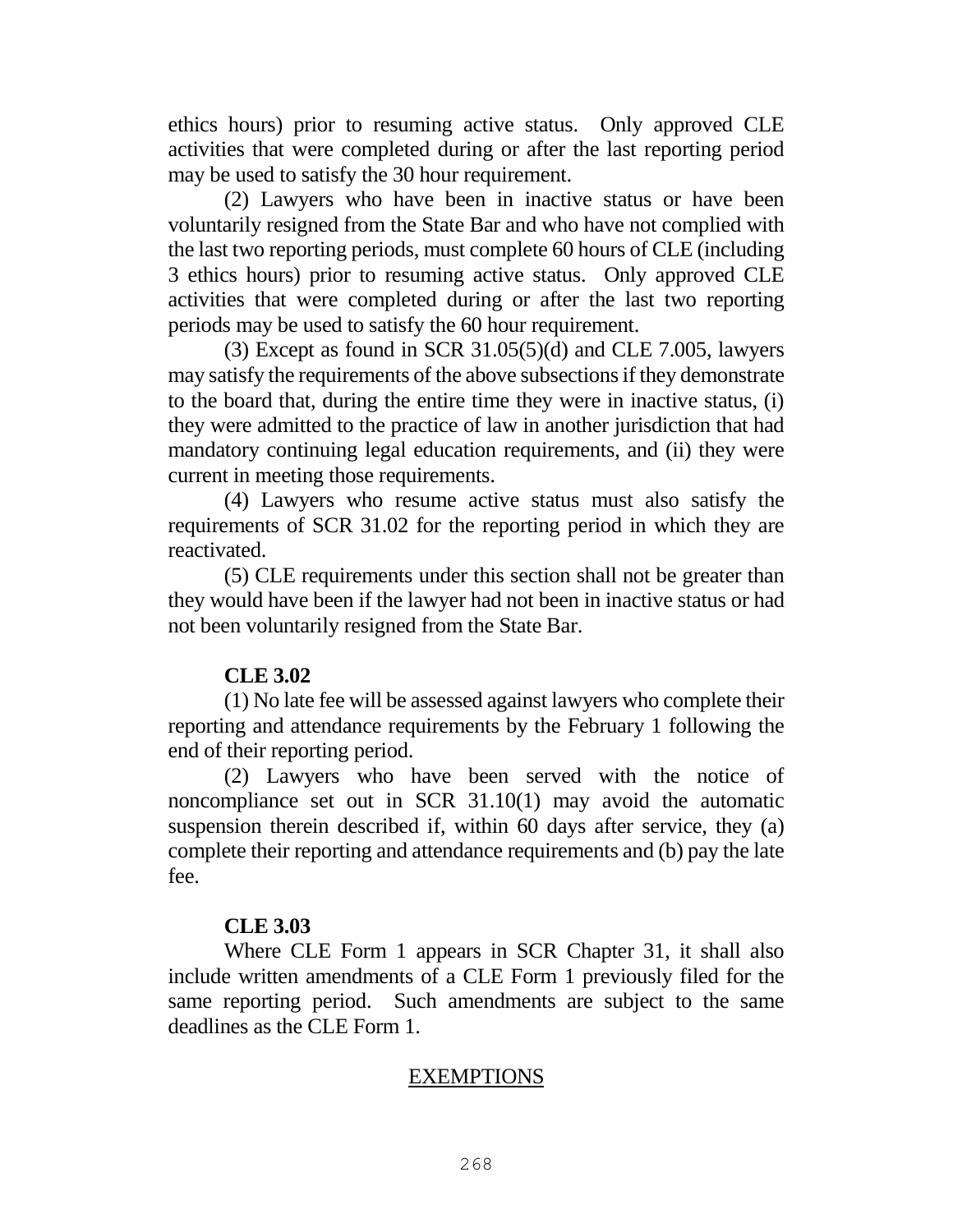ethics hours) prior to resuming active status. Only approved CLE activities that were completed during or after the last reporting period may be used to satisfy the 30 hour requirement.

(2) Lawyers who have been in inactive status or have been voluntarily resigned from the State Bar and who have not complied with the last two reporting periods, must complete 60 hours of CLE (including 3 ethics hours) prior to resuming active status. Only approved CLE activities that were completed during or after the last two reporting periods may be used to satisfy the 60 hour requirement.

(3) Except as found in SCR  $31.05(5)(d)$  and CLE 7.005, lawyers may satisfy the requirements of the above subsections if they demonstrate to the board that, during the entire time they were in inactive status, (i) they were admitted to the practice of law in another jurisdiction that had mandatory continuing legal education requirements, and (ii) they were current in meeting those requirements.

(4) Lawyers who resume active status must also satisfy the requirements of SCR 31.02 for the reporting period in which they are reactivated.

(5) CLE requirements under this section shall not be greater than they would have been if the lawyer had not been in inactive status or had not been voluntarily resigned from the State Bar.

# **CLE 3.02**

(1) No late fee will be assessed against lawyers who complete their reporting and attendance requirements by the February 1 following the end of their reporting period.

(2) Lawyers who have been served with the notice of noncompliance set out in SCR 31.10(1) may avoid the automatic suspension therein described if, within 60 days after service, they (a) complete their reporting and attendance requirements and (b) pay the late fee.

### **CLE 3.03**

Where CLE Form 1 appears in SCR Chapter 31, it shall also include written amendments of a CLE Form 1 previously filed for the same reporting period. Such amendments are subject to the same deadlines as the CLE Form 1.

# EXEMPTIONS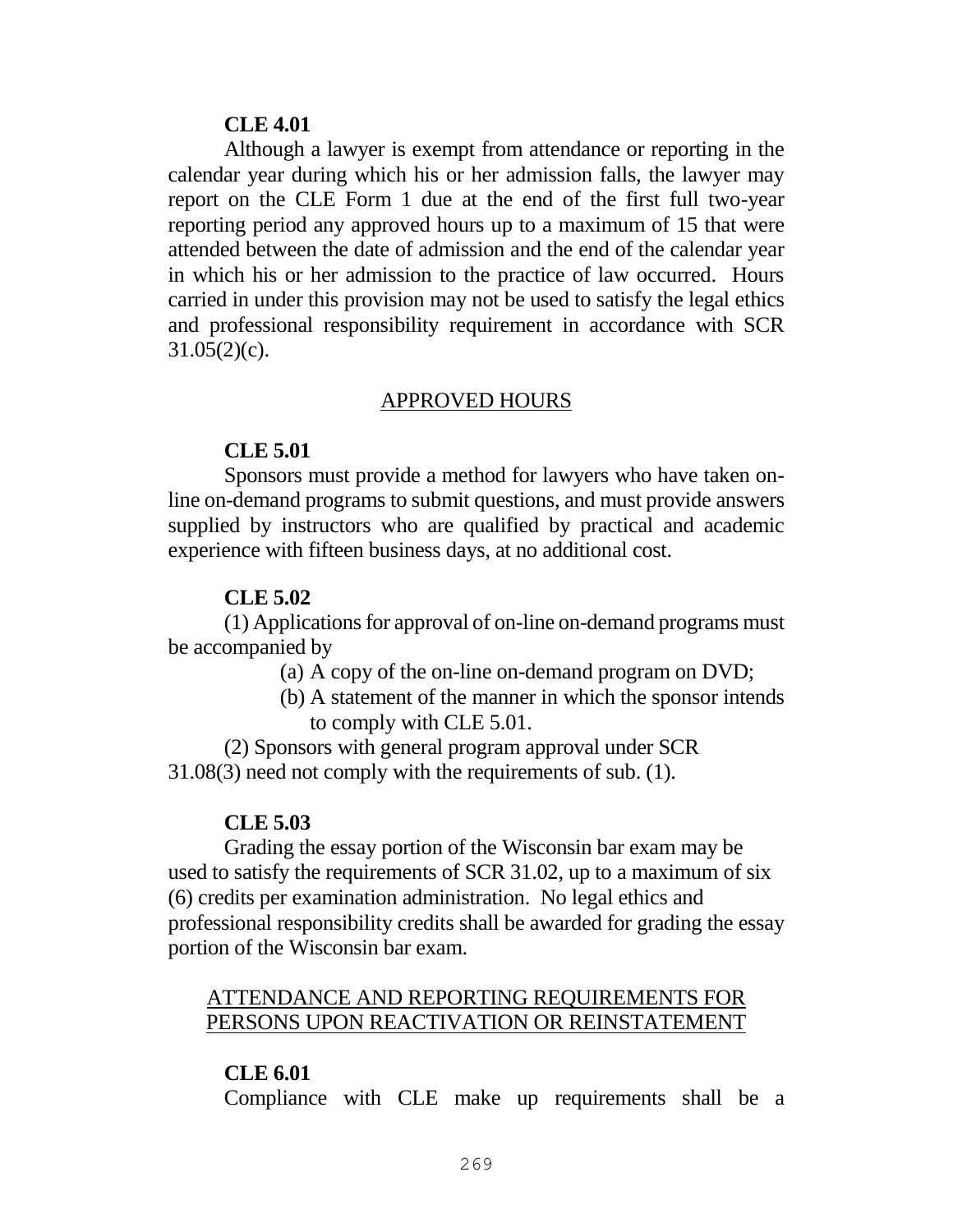#### **CLE 4.01**

Although a lawyer is exempt from attendance or reporting in the calendar year during which his or her admission falls, the lawyer may report on the CLE Form 1 due at the end of the first full two-year reporting period any approved hours up to a maximum of 15 that were attended between the date of admission and the end of the calendar year in which his or her admission to the practice of law occurred. Hours carried in under this provision may not be used to satisfy the legal ethics and professional responsibility requirement in accordance with SCR  $31.05(2)(c)$ .

#### APPROVED HOURS

#### **CLE 5.01**

Sponsors must provide a method for lawyers who have taken online on-demand programs to submit questions, and must provide answers supplied by instructors who are qualified by practical and academic experience with fifteen business days, at no additional cost.

#### **CLE 5.02**

(1) Applications for approval of on-line on-demand programs must be accompanied by

- (a) A copy of the on-line on-demand program on DVD;
- (b) A statement of the manner in which the sponsor intends to comply with CLE 5.01.

(2) Sponsors with general program approval under SCR 31.08(3) need not comply with the requirements of sub. (1).

#### **CLE 5.03**

Grading the essay portion of the Wisconsin bar exam may be used to satisfy the requirements of SCR 31.02, up to a maximum of six (6) credits per examination administration. No legal ethics and professional responsibility credits shall be awarded for grading the essay portion of the Wisconsin bar exam.

### ATTENDANCE AND REPORTING REQUIREMENTS FOR PERSONS UPON REACTIVATION OR REINSTATEMENT

### **CLE 6.01**

Compliance with CLE make up requirements shall be a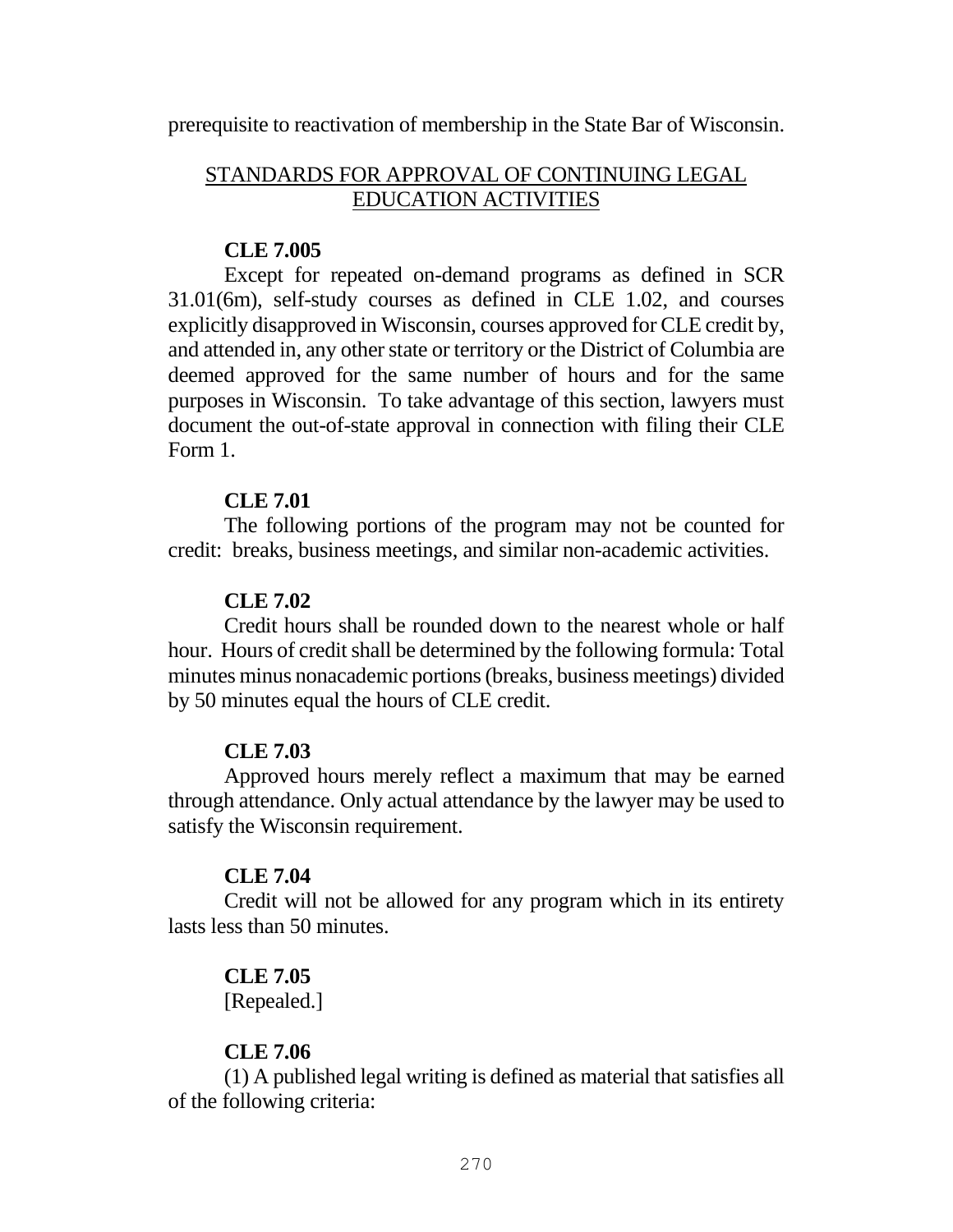prerequisite to reactivation of membership in the State Bar of Wisconsin.

# STANDARDS FOR APPROVAL OF CONTINUING LEGAL EDUCATION ACTIVITIES

### **CLE 7.005**

Except for repeated on-demand programs as defined in SCR 31.01(6m), self-study courses as defined in CLE 1.02, and courses explicitly disapproved in Wisconsin, courses approved for CLE credit by, and attended in, any other state or territory or the District of Columbia are deemed approved for the same number of hours and for the same purposes in Wisconsin. To take advantage of this section, lawyers must document the out-of-state approval in connection with filing their CLE Form 1.

### **CLE 7.01**

The following portions of the program may not be counted for credit: breaks, business meetings, and similar non-academic activities.

# **CLE 7.02**

Credit hours shall be rounded down to the nearest whole or half hour. Hours of credit shall be determined by the following formula: Total minutes minus nonacademic portions (breaks, business meetings) divided by 50 minutes equal the hours of CLE credit.

# **CLE 7.03**

Approved hours merely reflect a maximum that may be earned through attendance. Only actual attendance by the lawyer may be used to satisfy the Wisconsin requirement.

# **CLE 7.04**

Credit will not be allowed for any program which in its entirety lasts less than 50 minutes.

### **CLE 7.05**

[Repealed.]

# **CLE 7.06**

(1) A published legal writing is defined as material that satisfies all of the following criteria: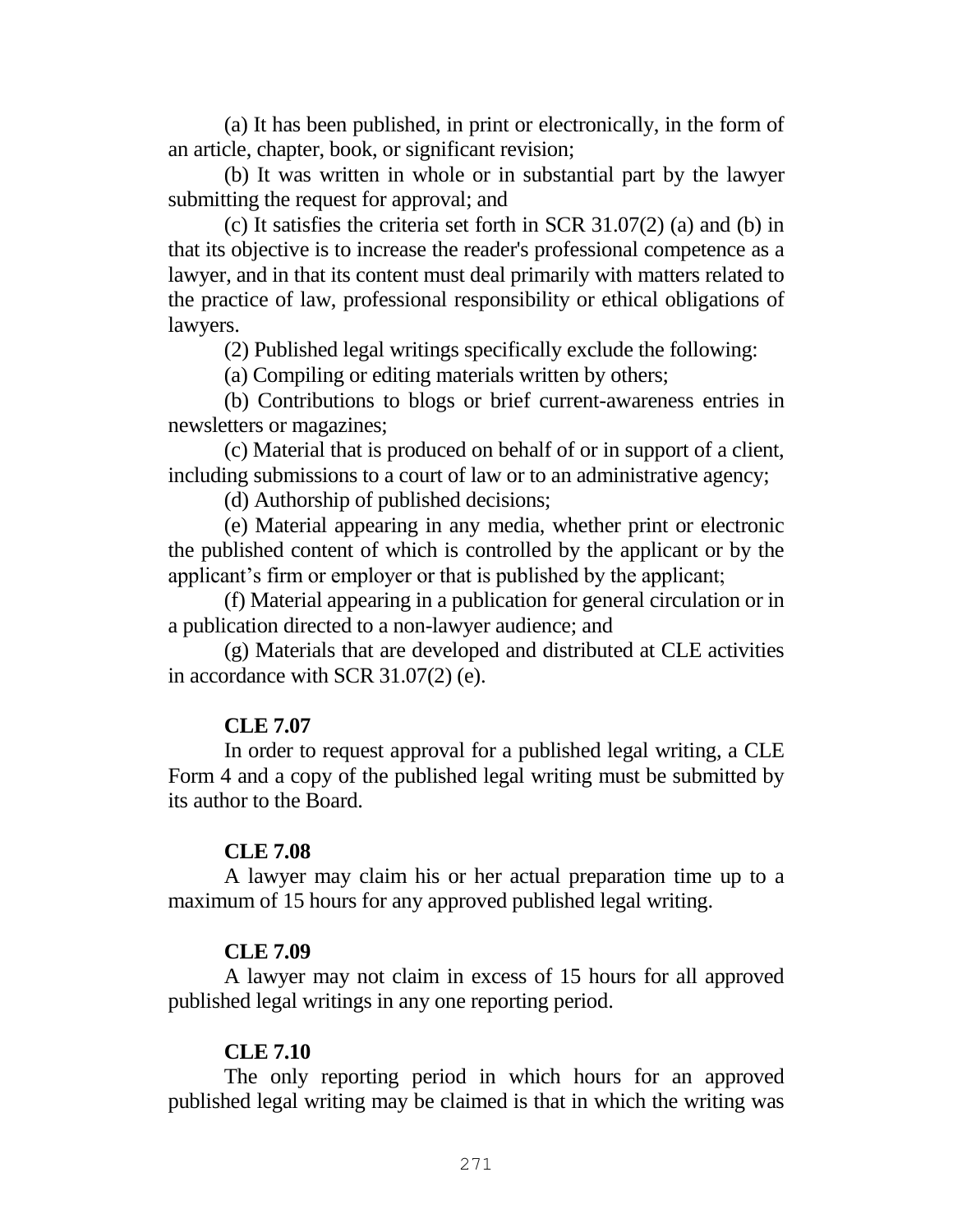(a) It has been published, in print or electronically, in the form of an article, chapter, book, or significant revision;

(b) It was written in whole or in substantial part by the lawyer submitting the request for approval; and

(c) It satisfies the criteria set forth in SCR 31.07(2) (a) and (b) in that its objective is to increase the reader's professional competence as a lawyer, and in that its content must deal primarily with matters related to the practice of law, professional responsibility or ethical obligations of lawyers.

(2) Published legal writings specifically exclude the following:

(a) Compiling or editing materials written by others;

(b) Contributions to blogs or brief current-awareness entries in newsletters or magazines;

(c) Material that is produced on behalf of or in support of a client, including submissions to a court of law or to an administrative agency;

(d) Authorship of published decisions;

(e) Material appearing in any media, whether print or electronic the published content of which is controlled by the applicant or by the applicant's firm or employer or that is published by the applicant;

(f) Material appearing in a publication for general circulation or in a publication directed to a non-lawyer audience; and

(g) Materials that are developed and distributed at CLE activities in accordance with SCR 31.07(2) (e).

### **CLE 7.07**

In order to request approval for a published legal writing, a CLE Form 4 and a copy of the published legal writing must be submitted by its author to the Board.

### **CLE 7.08**

A lawyer may claim his or her actual preparation time up to a maximum of 15 hours for any approved published legal writing.

### **CLE 7.09**

A lawyer may not claim in excess of 15 hours for all approved published legal writings in any one reporting period.

#### **CLE 7.10**

The only reporting period in which hours for an approved published legal writing may be claimed is that in which the writing was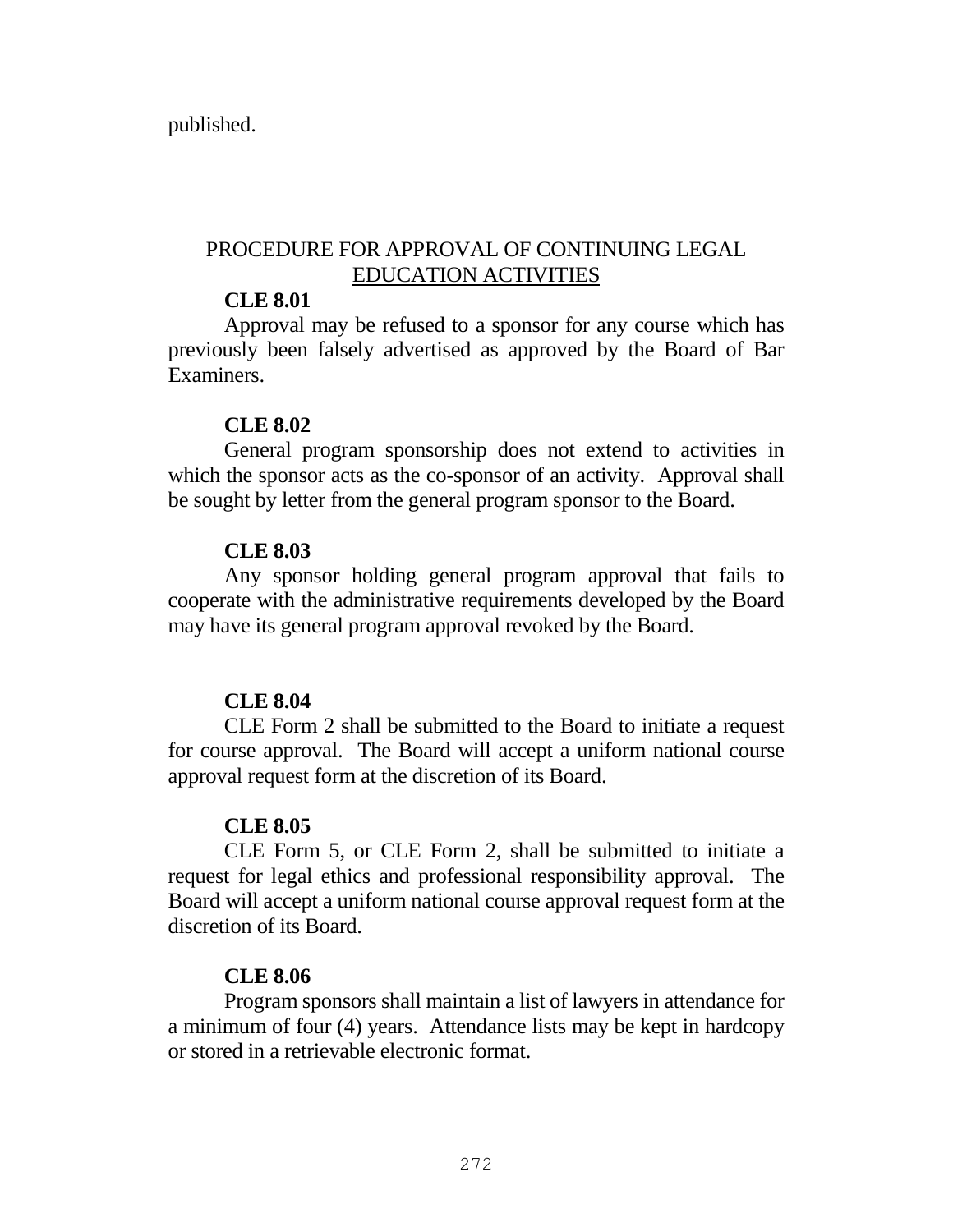published.

# PROCEDURE FOR APPROVAL OF CONTINUING LEGAL EDUCATION ACTIVITIES

# **CLE 8.01**

Approval may be refused to a sponsor for any course which has previously been falsely advertised as approved by the Board of Bar Examiners.

### **CLE 8.02**

General program sponsorship does not extend to activities in which the sponsor acts as the co-sponsor of an activity. Approval shall be sought by letter from the general program sponsor to the Board.

# **CLE 8.03**

Any sponsor holding general program approval that fails to cooperate with the administrative requirements developed by the Board may have its general program approval revoked by the Board.

# **CLE 8.04**

CLE Form 2 shall be submitted to the Board to initiate a request for course approval. The Board will accept a uniform national course approval request form at the discretion of its Board.

# **CLE 8.05**

CLE Form 5, or CLE Form 2, shall be submitted to initiate a request for legal ethics and professional responsibility approval. The Board will accept a uniform national course approval request form at the discretion of its Board.

# **CLE 8.06**

Program sponsors shall maintain a list of lawyers in attendance for a minimum of four (4) years. Attendance lists may be kept in hardcopy or stored in a retrievable electronic format.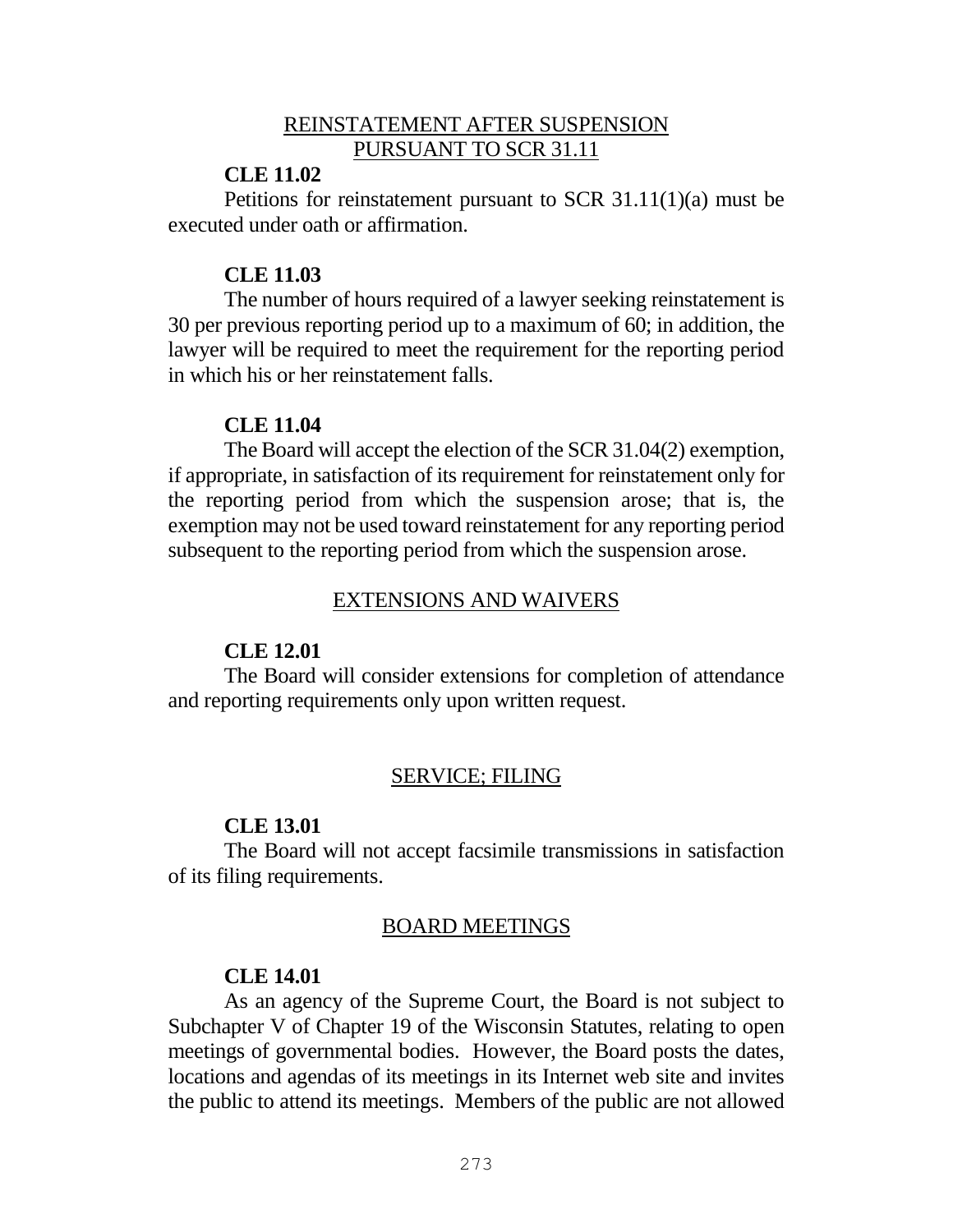### REINSTATEMENT AFTER SUSPENSION PURSUANT TO SCR 31.11

# **CLE 11.02**

Petitions for reinstatement pursuant to SCR 31.11(1)(a) must be executed under oath or affirmation.

### **CLE 11.03**

The number of hours required of a lawyer seeking reinstatement is 30 per previous reporting period up to a maximum of 60; in addition, the lawyer will be required to meet the requirement for the reporting period in which his or her reinstatement falls.

### **CLE 11.04**

The Board will accept the election of the SCR 31.04(2) exemption, if appropriate, in satisfaction of its requirement for reinstatement only for the reporting period from which the suspension arose; that is, the exemption may not be used toward reinstatement for any reporting period subsequent to the reporting period from which the suspension arose.

# EXTENSIONS AND WAIVERS

# **CLE 12.01**

The Board will consider extensions for completion of attendance and reporting requirements only upon written request.

# SERVICE; FILING

# **CLE 13.01**

The Board will not accept facsimile transmissions in satisfaction of its filing requirements.

# BOARD MEETINGS

# **CLE 14.01**

As an agency of the Supreme Court, the Board is not subject to Subchapter V of Chapter 19 of the Wisconsin Statutes, relating to open meetings of governmental bodies. However, the Board posts the dates, locations and agendas of its meetings in its Internet web site and invites the public to attend its meetings. Members of the public are not allowed